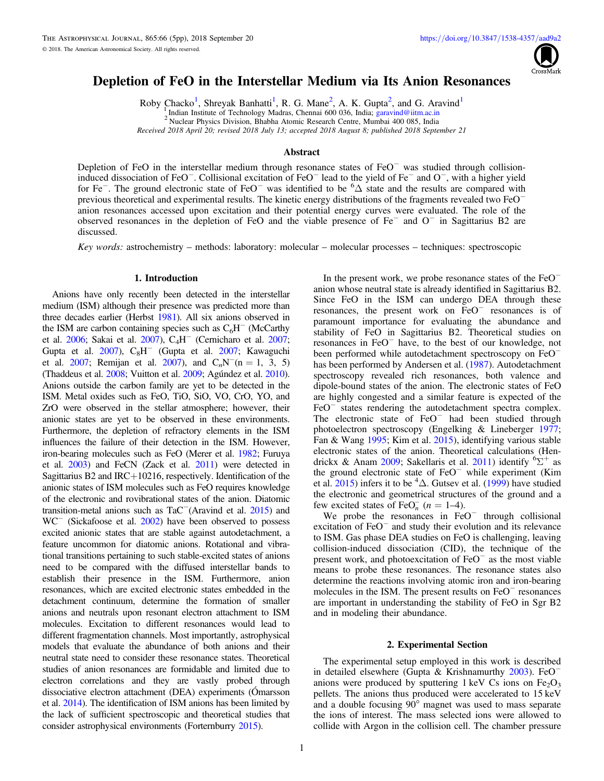

# Depletion of FeO in the Interstellar Medium via Its Anion Resonances

Roby Chacko<sup>1</sup>, Shreyak Banhatti<sup>1</sup>, R. G. Mane<sup>2</sup>, A. K. Gupta<sup>2</sup>, and G. Aravind<sup>1</sup>

Indian Institute of Technology Madras, Chennai 600 036, India; garavind@iitm.ac.in

<sup>2</sup> Nuclear Physics Division, Bhabha Atomic Research Centre, Mumbai 400 085, India

*Received 2018 April 20; revised 2018 July 13; accepted 2018 August 8; published 2018 September 21*

# **Abstract**

Depletion of FeO in the interstellar medium through resonance states of FeO<sup>−</sup> was studied through collisioninduced dissociation of FeO<sup>−</sup> . Collisional excitation of FeO<sup>−</sup> lead to the yield of Fe<sup>−</sup> and O<sup>−</sup> , with a higher yield for Fe<sup>−</sup>. The ground electronic state of FeO<sup>−</sup> was identified to be  ${}^{6}\Delta$  state and the results are compared with previous theoretical and experimental results. The kinetic energy distributions of the fragments revealed two FeO<sup>−</sup> anion resonances accessed upon excitation and their potential energy curves were evaluated. The role of the observed resonances in the depletion of FeO and the viable presence of Fe<sup>−</sup> and O<sup>−</sup> in Sagittarius B2 are discussed.

*Key words:* astrochemistry – methods: laboratory: molecular – molecular processes – techniques: spectroscopic

## 1. Introduction

Anions have only recently been detected in the interstellar medium (ISM) although their presence was predicted more than three decades earlier (Herbst 1981). All six anions observed in the ISM are carbon containing species such as  $C_6H^-$  (McCarthy et al. 2006; Sakai et al. 2007), C<sub>4</sub>H<sup>-</sup> (Cernicharo et al. 2007; Gupta et al.  $2007$ ),  $C_8H^-$  (Gupta et al. 2007; Kawaguchi et al. 2007; Remijan et al. 2007), and  $C_nN^-(n = 1, 3, 5)$ (Thaddeus et al. 2008; Vuitton et al. 2009; Agúndez et al. 2010). Anions outside the carbon family are yet to be detected in the ISM. Metal oxides such as FeO, TiO, SiO, VO, CrO, YO, and ZrO were observed in the stellar atmosphere; however, their anionic states are yet to be observed in these environments. Furthermore, the depletion of refractory elements in the ISM influences the failure of their detection in the ISM. However, iron-bearing molecules such as FeO (Merer et al. 1982; Furuya et al. 2003) and FeCN (Zack et al. 2011) were detected in Sagittarius B2 and IRC+10216, respectively. Identification of the anionic states of ISM molecules such as FeO requires knowledge of the electronic and rovibrational states of the anion. Diatomic transition-metal anions such as TaC<sup>−</sup>(Aravind et al. 2015) and WC<sup>−</sup> (Sickafoose et al. 2002) have been observed to possess excited anionic states that are stable against autodetachment, a feature uncommon for diatomic anions. Rotational and vibrational transitions pertaining to such stable-excited states of anions need to be compared with the diffused interstellar bands to establish their presence in the ISM. Furthermore, anion resonances, which are excited electronic states embedded in the detachment continuum, determine the formation of smaller anions and neutrals upon resonant electron attachment to ISM molecules. Excitation to different resonances would lead to different fragmentation channels. Most importantly, astrophysical models that evaluate the abundance of both anions and their neutral state need to consider these resonance states. Theoretical studies of anion resonances are formidable and limited due to electron correlations and they are vastly probed through dissociative electron attachment (DEA) experiments (Ómarsson et al. 2014). The identification of ISM anions has been limited by the lack of sufficient spectroscopic and theoretical studies that consider astrophysical environments (Forternburry 2015).

In the present work, we probe resonance states of the FeO<sup>−</sup> anion whose neutral state is already identified in Sagittarius B2. Since FeO in the ISM can undergo DEA through these resonances, the present work on FeO<sup>−</sup> resonances is of paramount importance for evaluating the abundance and stability of FeO in Sagittarius B2. Theoretical studies on resonances in FeO<sup>−</sup> have, to the best of our knowledge, not been performed while autodetachment spectroscopy on FeO<sup>−</sup> has been performed by Andersen et al. (1987). Autodetachment spectroscopy revealed rich resonances, both valence and dipole-bound states of the anion. The electronic states of FeO are highly congested and a similar feature is expected of the FeO<sup>−</sup> states rendering the autodetachment spectra complex. The electronic state of FeO<sup>−</sup> had been studied through photoelectron spectroscopy (Engelking & Lineberger 1977; Fan & Wang 1995; Kim et al. 2015), identifying various stable electronic states of the anion. Theoretical calculations (Hendrickx & Anam 2009; Sakellaris et al. 2011) identify  ${}^{6}\Sigma^{+}$  as the ground electronic state of FeO<sup>−</sup> while experiment (Kim et al.  $2015$ ) infers it to be <sup>4</sup> $\Delta$ . Gutsev et al. (1999) have studied the electronic and geometrical structures of the ground and a few excited states of FeO<sub>n</sub> ( $n = 1-4$ ).

We probe the resonances in  $FeO^-$  through collisional excitation of FeO<sup>−</sup> and study their evolution and its relevance to ISM. Gas phase DEA studies on FeO is challenging, leaving collision-induced dissociation (CID), the technique of the present work, and photoexcitation of  $FeO<sup>-</sup>$  as the most viable means to probe these resonances. The resonance states also determine the reactions involving atomic iron and iron-bearing molecules in the ISM. The present results on FeO<sup>−</sup> resonances are important in understanding the stability of FeO in Sgr B2 and in modeling their abundance.

### 2. Experimental Section

The experimental setup employed in this work is described in detailed elsewhere (Gupta & Krishnamurthy 2003). FeO<sup>−</sup> anions were produced by sputtering  $1 \text{ keV}$  Cs ions on  $Fe<sub>2</sub>O<sub>3</sub>$ pellets. The anions thus produced were accelerated to 15 keV and a double focusing 90° magnet was used to mass separate the ions of interest. The mass selected ions were allowed to collide with Argon in the collision cell. The chamber pressure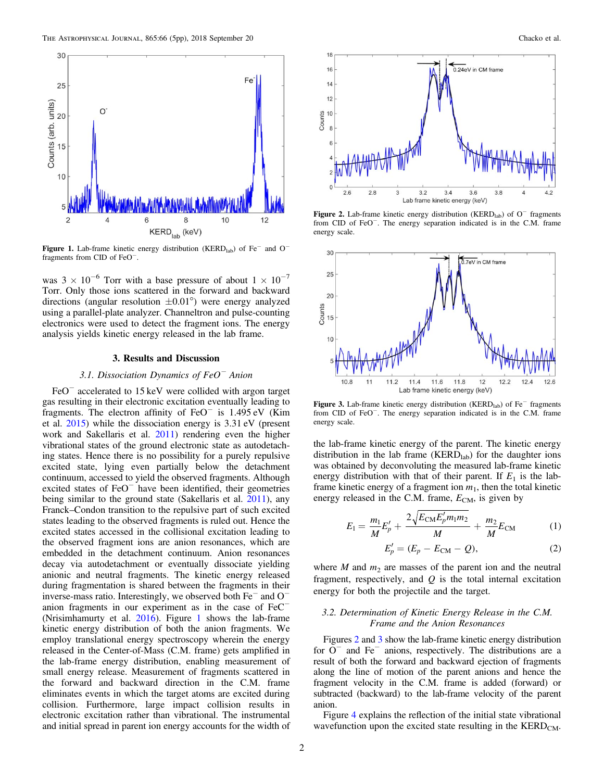

Figure 1. Lab-frame kinetic energy distribution (KERD<sub>lab</sub>) of Fe<sup>-</sup> and O<sup>-</sup> fragments from CID of FeO<sup>−</sup> .

was  $3 \times 10^{-6}$  Torr with a base pressure of about  $1 \times 10^{-7}$ Torr. Only those ions scattered in the forward and backward directions (angular resolution  $\pm 0.01^{\circ}$ ) were energy analyzed using a parallel-plate analyzer. Channeltron and pulse-counting electronics were used to detect the fragment ions. The energy analysis yields kinetic energy released in the lab frame.

### 3. Results and Discussion

# *3.1. Dissociation Dynamics of FeO*<sup>−</sup> *Anion*

FeO<sup>−</sup> accelerated to 15 keV were collided with argon target gas resulting in their electronic excitation eventually leading to fragments. The electron affinity of FeO<sup>−</sup> is 1.495 eV (Kim et al. 2015) while the dissociation energy is 3.31 eV (present work and Sakellaris et al. 2011) rendering even the higher vibrational states of the ground electronic state as autodetaching states. Hence there is no possibility for a purely repulsive excited state, lying even partially below the detachment continuum, accessed to yield the observed fragments. Although excited states of FeO<sup>−</sup> have been identified, their geometries being similar to the ground state (Sakellaris et al. 2011), any Franck–Condon transition to the repulsive part of such excited states leading to the observed fragments is ruled out. Hence the excited states accessed in the collisional excitation leading to the observed fragment ions are anion resonances, which are embedded in the detachment continuum. Anion resonances decay via autodetachment or eventually dissociate yielding anionic and neutral fragments. The kinetic energy released during fragmentation is shared between the fragments in their inverse-mass ratio. Interestingly, we observed both Fe<sup>−</sup> and O<sup>−</sup> anion fragments in our experiment as in the case of FeC<sup>−</sup> (Nrisimhamurty et al. 2016). Figure 1 shows the lab-frame kinetic energy distribution of both the anion fragments. We employ translational energy spectroscopy wherein the energy released in the Center-of-Mass (C.M. frame) gets amplified in the lab-frame energy distribution, enabling measurement of small energy release. Measurement of fragments scattered in the forward and backward direction in the C.M. frame eliminates events in which the target atoms are excited during collision. Furthermore, large impact collision results in electronic excitation rather than vibrational. The instrumental and initial spread in parent ion energy accounts for the width of



Figure 2. Lab-frame kinetic energy distribution (KERD<sub>lab</sub>) of O<sup>−</sup> fragments from CID of FeO<sup>−</sup>. The energy separation indicated is in the C.M. frame energy scale.



Figure 3. Lab-frame kinetic energy distribution (KERD<sub>lab</sub>) of Fe<sup>−</sup> fragments from CID of FeO<sup>−</sup> . The energy separation indicated is in the C.M. frame energy scale.

the lab-frame kinetic energy of the parent. The kinetic energy distribution in the lab frame ( $\text{KERD}_{\text{lab}}$ ) for the daughter ions was obtained by deconvoluting the measured lab-frame kinetic energy distribution with that of their parent. If  $E_1$  is the labframe kinetic energy of a fragment ion  $m_1$ , then the total kinetic energy released in the C.M. frame,  $E_{CM}$ , is given by

$$
E_1 = \frac{m_1}{M} E'_p + \frac{2\sqrt{E_{\rm CM} E'_p m_1 m_2}}{M} + \frac{m_2}{M} E_{\rm CM}
$$
 (1)

$$
E'_{p} = (E_{p} - E_{CM} - Q),
$$
 (2)

where  $M$  and  $m_2$  are masses of the parent ion and the neutral fragment, respectively, and *Q* is the total internal excitation energy for both the projectile and the target.

## *3.2. Determination of Kinetic Energy Release in the C.M. Frame and the Anion Resonances*

Figures 2 and 3 show the lab-frame kinetic energy distribution for O<sup>−</sup> and Fe<sup>−</sup> anions, respectively. The distributions are a result of both the forward and backward ejection of fragments along the line of motion of the parent anions and hence the fragment velocity in the C.M. frame is added (forward) or subtracted (backward) to the lab-frame velocity of the parent anion.

Figure 4 explains the reflection of the initial state vibrational wavefunction upon the excited state resulting in the  $\text{KERD}_{CM}$ .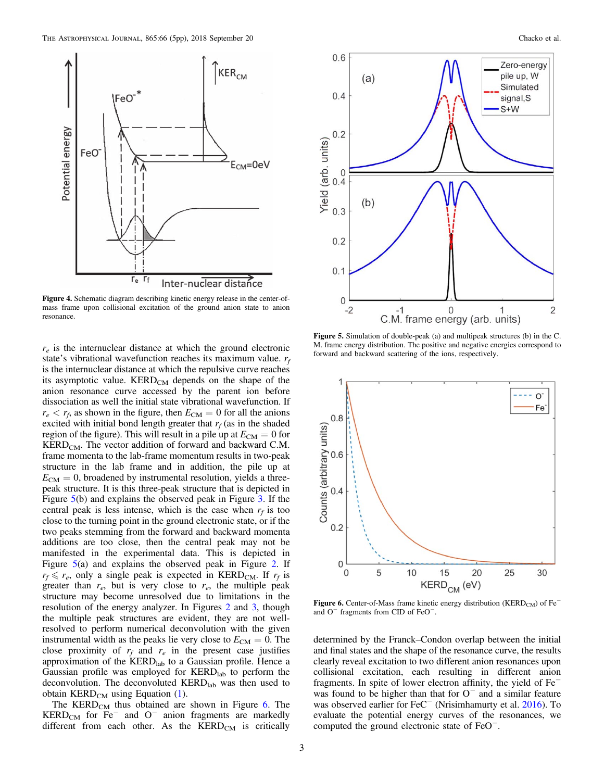

Figure 4. Schematic diagram describing kinetic energy release in the center-ofmass frame upon collisional excitation of the ground anion state to anion resonance.

 $r_e$  is the internuclear distance at which the ground electronic state's vibrational wavefunction reaches its maximum value. *r<sup>f</sup>* is the internuclear distance at which the repulsive curve reaches its asymptotic value.  $\text{KERD}_{\text{CM}}$  depends on the shape of the anion resonance curve accessed by the parent ion before dissociation as well the initial state vibrational wavefunction. If  $r_e < r_f$ , as shown in the figure, then  $E_{CM} = 0$  for all the anions excited with initial bond length greater that  $r_f$  (as in the shaded region of the figure). This will result in a pile up at  $E_{CM} = 0$  for  $\text{KERD}_{CM}$ . The vector addition of forward and backward C.M. frame momenta to the lab-frame momentum results in two-peak structure in the lab frame and in addition, the pile up at  $E_{CM} = 0$ , broadened by instrumental resolution, yields a threepeak structure. It is this three-peak structure that is depicted in Figure 5(b) and explains the observed peak in Figure 3. If the central peak is less intense, which is the case when  $r_f$  is too close to the turning point in the ground electronic state, or if the two peaks stemming from the forward and backward momenta additions are too close, then the central peak may not be manifested in the experimental data. This is depicted in Figure 5(a) and explains the observed peak in Figure 2. If  $r_f \le r_e$ , only a single peak is expected in KERD<sub>CM</sub>. If  $r_f$  is greater than  $r_e$ , but is very close to  $r_e$ , the multiple peak structure may become unresolved due to limitations in the resolution of the energy analyzer. In Figures 2 and 3, though the multiple peak structures are evident, they are not wellresolved to perform numerical deconvolution with the given instrumental width as the peaks lie very close to  $E_{CM} = 0$ . The close proximity of  $r_f$  and  $r_e$  in the present case justifies approximation of the KERD<sub>lab</sub> to a Gaussian profile. Hence a Gaussian profile was employed for KERD<sub>lab</sub> to perform the deconvolution. The deconvoluted  $\text{KERD}_{\text{lab}}$  was then used to obtain  $\text{KERD}_{CM}$  using Equation (1).

The KERD<sub>CM</sub> thus obtained are shown in Figure  $6$ . The KERD<sub>CM</sub> for Fe<sup> $-$ </sup> and O<sup> $-$ </sup> anion fragments are markedly different from each other. As the  $\text{KERD}_{\text{CM}}$  is critically



 $0.6$ 

 $0.4$ 

 $0.2$ 

 $\overline{0}$  $0.4$ 

 $0.3$ 

 $0.2$ 

 $0.1$ 

 $\overline{0}$ 

 $-2$ 

Yield (arb. units)

 $(a)$ 

 $(b)$ 

Figure 5. Simulation of double-peak (a) and multipeak structures (b) in the C. M. frame energy distribution. The positive and negative energies correspond to forward and backward scattering of the ions, respectively.

 $C.M.$  frame energy (arb. units)



Figure 6. Center-of-Mass frame kinetic energy distribution (KERD<sub>CM</sub>) of Fe<sup>−</sup> and O<sup>−</sup> fragments from CID of FeO<sup>−</sup> .

determined by the Franck–Condon overlap between the initial and final states and the shape of the resonance curve, the results clearly reveal excitation to two different anion resonances upon collisional excitation, each resulting in different anion fragments. In spite of lower electron affinity, the yield of Fe<sup>−</sup> was found to be higher than that for  $O<sup>-</sup>$  and a similar feature was found to be inglier than that for  $\sigma$  and a similar reature was observed earlier for FeC<sup>−</sup> (Nrisimhamurty et al. 2016). To evaluate the potential energy curves of the resonances, we computed the ground electronic state of FeO<sup>−</sup> .

 $\overline{2}$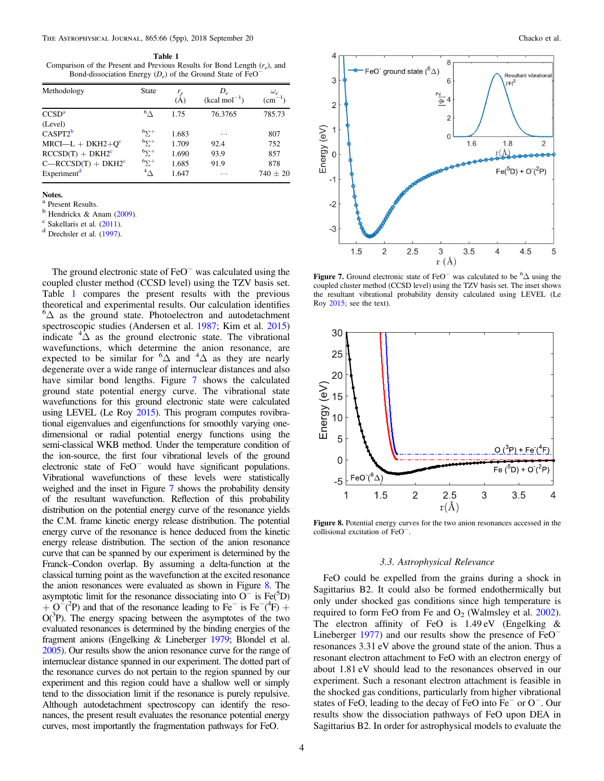Table 1 Comparison of the Present and Previous Results for Bond Length (*r<sup>e</sup>* ), and Bond-dissociation Energy (*D<sup>e</sup>* ) of the Ground State of FeO<sup>−</sup>

| Methodology             | <b>State</b>           | $r_e$<br>(A) | $D_e$<br>$(kcal mol-1)$ | $\omega_e$<br>$\rm (cm^{-1})$ |
|-------------------------|------------------------|--------------|-------------------------|-------------------------------|
| CCSD <sup>a</sup>       | $^6$ $\wedge$          | 1.75         | 76.3765                 | 785.73                        |
| (Level)                 |                        |              |                         |                               |
| $CASPT2^b$              | $^{6}$ $\Sigma^{+}$    | 1.683        | .                       | 807                           |
| $MRCI-L + DKH2+Qc$      | $6\Sigma^+$            | 1.709        | 92.4                    | 752                           |
| $RCCSD(T) + DKH2c$      | $6y_1$ +               | 1.690        | 93.9                    | 857                           |
| $C - RCCSD(T) + DKH2c$  | $6y +$                 | 1.685        | 91.9                    | 878                           |
| Experiment <sup>d</sup> | $\mathcal{A}_{\Delta}$ | 1.647        | .                       | $740 \pm 20$                  |

Notes. a

Present Results.

 $<sup>b</sup>$  Hendrickx & Anam (2009).</sup>

<sup>c</sup> Sakellaris et al. (2011).

<sup>d</sup> Drechsler et al. (1997).

The ground electronic state of FeO<sup>−</sup> was calculated using the coupled cluster method (CCSD level) using the TZV basis set. Table 1 compares the present results with the previous theoretical and experimental results. Our calculation identifies  ${}^{6}\Delta$  as the ground state. Photoelectron and autodetachment spectroscopic studies (Andersen et al. 1987; Kim et al. 2015) indicate  ${}^{4}\overline{\Delta}$  as the ground electronic state. The vibrational wavefunctions, which determine the anion resonance, are expected to be similar for  ${}^{6}\Delta$  and  ${}^{4}\Delta$  as they are nearly degenerate over a wide range of internuclear distances and also have similar bond lengths. Figure 7 shows the calculated ground state potential energy curve. The vibrational state wavefunctions for this ground electronic state were calculated using LEVEL (Le Roy 2015). This program computes rovibrational eigenvalues and eigenfunctions for smoothly varying onedimensional or radial potential energy functions using the semi-classical WKB method. Under the temperature condition of the ion-source, the first four vibrational levels of the ground electronic state of FeO<sup>−</sup> would have significant populations. Vibrational wavefunctions of these levels were statistically weighed and the inset in Figure 7 shows the probability density of the resultant wavefunction. Reflection of this probability distribution on the potential energy curve of the resonance yields the C.M. frame kinetic energy release distribution. The potential energy curve of the resonance is hence deduced from the kinetic energy release distribution. The section of the anion resonance curve that can be spanned by our experiment is determined by the Franck–Condon overlap. By assuming a delta-function at the classical turning point as the wavefunction at the excited resonance the anion resonances were evaluated as shown in Figure 8. The asymptotic limit for the resonance dissociating into  $O^-$  is Fe( ${}^5D$ )  $+ O^{-2}P$ ) and that of the resonance leading to Fe<sup>−</sup> is Fe<sup>−</sup>(<sup>4</sup>F) +  $O(^{3}P)$ . The energy spacing between the asymptotes of the two evaluated resonances is determined by the binding energies of the fragment anions (Engelking & Lineberger 1979; Blondel et al. 2005). Our results show the anion resonance curve for the range of internuclear distance spanned in our experiment. The dotted part of the resonance curves do not pertain to the region spanned by our experiment and this region could have a shallow well or simply tend to the dissociation limit if the resonance is purely repulsive. Although autodetachment spectroscopy can identify the resonances, the present result evaluates the resonance potential energy curves, most importantly the fragmentation pathways for FeO.



Figure 7. Ground electronic state of FeO<sup>−</sup> was calculated to be <sup>6</sup> $\Delta$  using the coupled cluster method (CCSD level) using the TZV basis set. The inset shows the resultant vibrational probability density calculated using LEVEL (Le Roy 2015; see the text).



Figure 8. Potential energy curves for the two anion resonances accessed in the collisional excitation of FeO<sup>−</sup> .

### *3.3. Astrophysical Relevance*

FeO could be expelled from the grains during a shock in Sagittarius B2. It could also be formed endothermically but only under shocked gas conditions since high temperature is required to form FeO from Fe and  $O_2$  (Walmsley et al. 2002). The electron affinity of FeO is  $1.49 \text{ eV}$  (Engelking & Lineberger 1977) and our results show the presence of FeO<sup>−</sup> resonances 3.31 eV above the ground state of the anion. Thus a resonant electron attachment to FeO with an electron energy of about 1.81 eV should lead to the resonances observed in our experiment. Such a resonant electron attachment is feasible in the shocked gas conditions, particularly from higher vibrational states of FeO, leading to the decay of FeO into Fe<sup>−</sup> or O<sup>−</sup> . Our results show the dissociation pathways of FeO upon DEA in Sagittarius B2. In order for astrophysical models to evaluate the